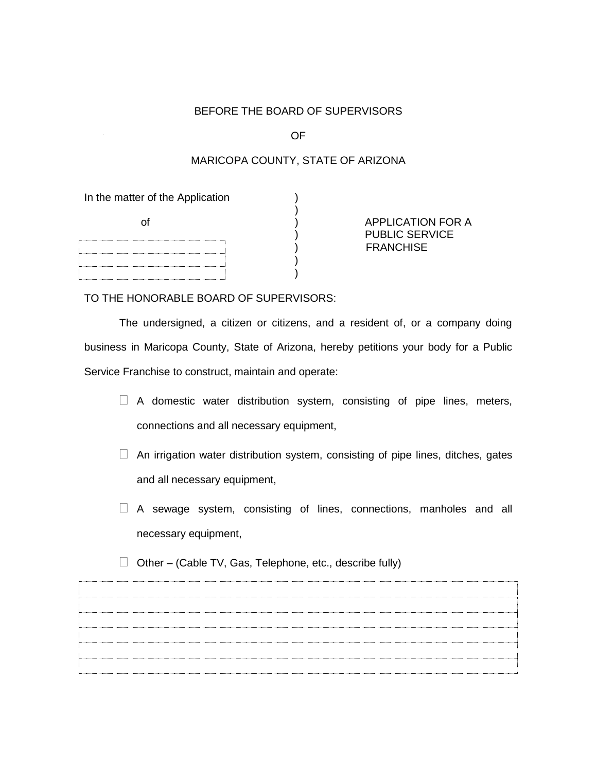## BEFORE THE BOARD OF SUPERVISORS

OF

# MARICOPA COUNTY, STATE OF ARIZONA

In the matter of the Application

| . |  |
|---|--|
|   |  |
|   |  |
|   |  |
|   |  |
|   |  |
|   |  |
|   |  |
|   |  |
|   |  |

of  $\overrightarrow{)}$  APPLICATION FOR A ) PUBLIC SERVICE ) FRANCHISE

TO THE HONORABLE BOARD OF SUPERVISORS:

 $)$ 

 The undersigned, a citizen or citizens, and a resident of, or a company doing business in Maricopa County, State of Arizona, hereby petitions your body for a Public Service Franchise to construct, maintain and operate:

)

- $\Box$  A domestic water distribution system, consisting of pipe lines, meters, connections and all necessary equipment,
- $\Box$  An irrigation water distribution system, consisting of pipe lines, ditches, gates and all necessary equipment,
- $\Box$  A sewage system, consisting of lines, connections, manholes and all necessary equipment,
- $\Box$  Other (Cable TV, Gas, Telephone, etc., describe fully)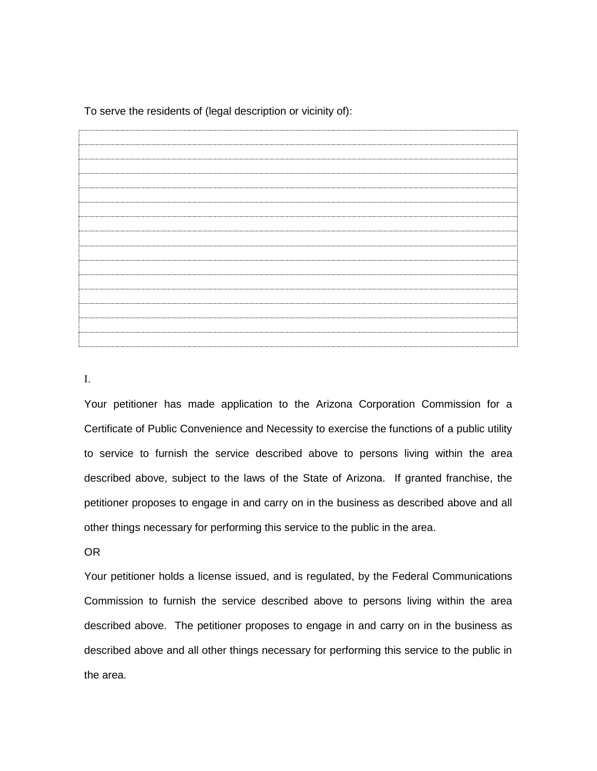To serve the residents of (legal description or vicinity of):

.

Your petitioner has made application to the Arizona Corporation Commission for a Certificate of Public Convenience and Necessity to exercise the functions of a public utility to service to furnish the service described above to persons living within the area described above, subject to the laws of the State of Arizona. If granted franchise, the petitioner proposes to engage in and carry on in the business as described above and all other things necessary for performing this service to the public in the area.

OR

Your petitioner holds a license issued, and is regulated, by the Federal Communications Commission to furnish the service described above to persons living within the area described above. The petitioner proposes to engage in and carry on in the business as described above and all other things necessary for performing this service to the public in the area.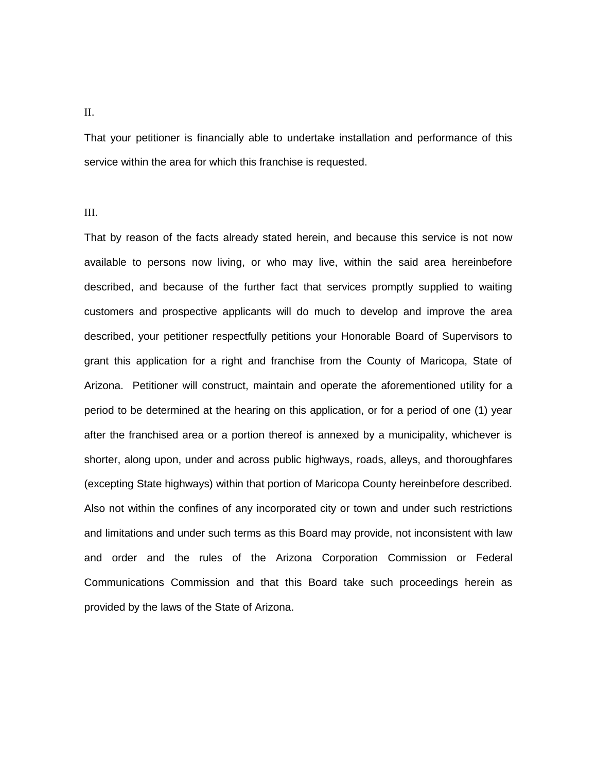### .

That your petitioner is financially able to undertake installation and performance of this service within the area for which this franchise is requested.

#### Ш.

That by reason of the facts already stated herein, and because this service is not now available to persons now living, or who may live, within the said area hereinbefore described, and because of the further fact that services promptly supplied to waiting customers and prospective applicants will do much to develop and improve the area described, your petitioner respectfully petitions your Honorable Board of Supervisors to grant this application for a right and franchise from the County of Maricopa, State of Arizona. Petitioner will construct, maintain and operate the aforementioned utility for a period to be determined at the hearing on this application, or for a period of one (1) year after the franchised area or a portion thereof is annexed by a municipality, whichever is shorter, along upon, under and across public highways, roads, alleys, and thoroughfares (excepting State highways) within that portion of Maricopa County hereinbefore described. Also not within the confines of any incorporated city or town and under such restrictions and limitations and under such terms as this Board may provide, not inconsistent with law and order and the rules of the Arizona Corporation Commission or Federal Communications Commission and that this Board take such proceedings herein as provided by the laws of the State of Arizona.